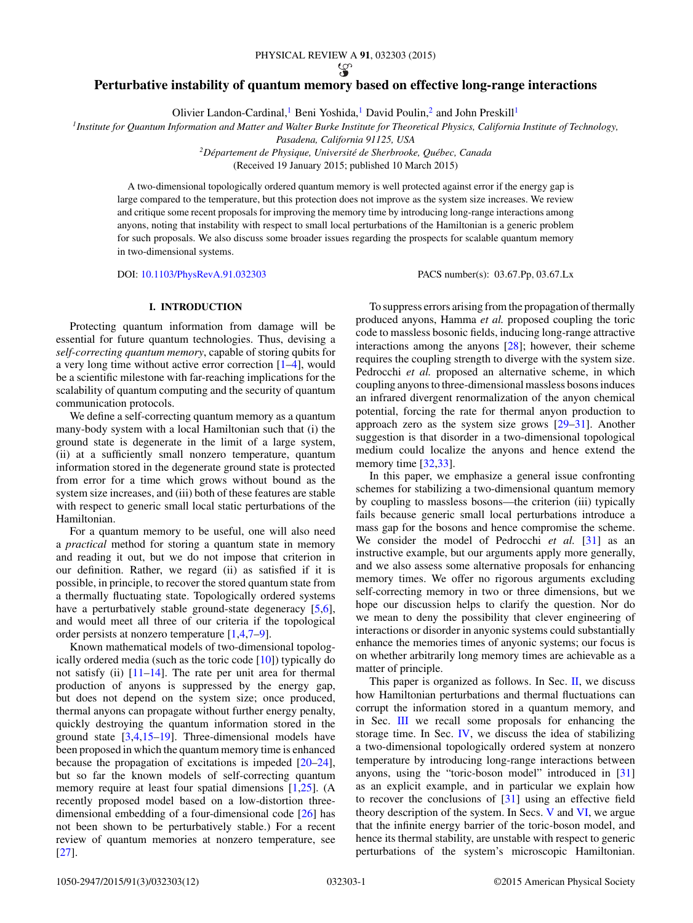### PHYSICAL REVIEW A **91**, 032303 (2015)

# **Perturbative instability of quantum memory based on effective long-range interactions**

Olivier Landon-Cardinal,<sup>1</sup> Beni Yoshida,<sup>1</sup> David Poulin,<sup>2</sup> and John Preskill<sup>1</sup>

*1Institute for Quantum Information and Matter and Walter Burke Institute for Theoretical Physics, California Institute of Technology,*

*Pasadena, California 91125, USA*

*2Departement de Physique, Universit ´ e de Sherbrooke, Qu ´ ebec, Canada ´*

(Received 19 January 2015; published 10 March 2015)

A two-dimensional topologically ordered quantum memory is well protected against error if the energy gap is large compared to the temperature, but this protection does not improve as the system size increases. We review and critique some recent proposals for improving the memory time by introducing long-range interactions among anyons, noting that instability with respect to small local perturbations of the Hamiltonian is a generic problem for such proposals. We also discuss some broader issues regarding the prospects for scalable quantum memory in two-dimensional systems.

DOI: [10.1103/PhysRevA.91.032303](http://dx.doi.org/10.1103/PhysRevA.91.032303) PACS number(s): 03*.*67*.*Pp*,* 03*.*67*.*Lx

## **I. INTRODUCTION**

Protecting quantum information from damage will be essential for future quantum technologies. Thus, devising a *self-correcting quantum memory*, capable of storing qubits for a very long time without active error correction [\[1–4\]](#page-10-0), would be a scientific milestone with far-reaching implications for the scalability of quantum computing and the security of quantum communication protocols.

We define a self-correcting quantum memory as a quantum many-body system with a local Hamiltonian such that (i) the ground state is degenerate in the limit of a large system, (ii) at a sufficiently small nonzero temperature, quantum information stored in the degenerate ground state is protected from error for a time which grows without bound as the system size increases, and (iii) both of these features are stable with respect to generic small local static perturbations of the Hamiltonian.

For a quantum memory to be useful, one will also need a *practical* method for storing a quantum state in memory and reading it out, but we do not impose that criterion in our definition. Rather, we regard (ii) as satisfied if it is possible, in principle, to recover the stored quantum state from a thermally fluctuating state. Topologically ordered systems have a perturbatively stable ground-state degeneracy [\[5,6\]](#page-10-0), and would meet all three of our criteria if the topological order persists at nonzero temperature [\[1,4,7–9\]](#page-10-0).

Known mathematical models of two-dimensional topologically ordered media (such as the toric code [\[10\]](#page-11-0)) typically do not satisfy (ii) [\[11–14\]](#page-11-0). The rate per unit area for thermal production of anyons is suppressed by the energy gap, but does not depend on the system size; once produced, thermal anyons can propagate without further energy penalty, quickly destroying the quantum information stored in the ground state [\[3,4](#page-10-0)[,15–19\]](#page-11-0). Three-dimensional models have been proposed in which the quantum memory time is enhanced because the propagation of excitations is impeded [\[20–24\]](#page-11-0), but so far the known models of self-correcting quantum memory require at least four spatial dimensions [\[1](#page-10-0)[,25\]](#page-11-0). (A recently proposed model based on a low-distortion threedimensional embedding of a four-dimensional code [\[26\]](#page-11-0) has not been shown to be perturbatively stable.) For a recent review of quantum memories at nonzero temperature, see [\[27\]](#page-11-0).

To suppress errors arising from the propagation of thermally produced anyons, Hamma *et al.* proposed coupling the toric code to massless bosonic fields, inducing long-range attractive interactions among the anyons [\[28\]](#page-11-0); however, their scheme requires the coupling strength to diverge with the system size. Pedrocchi *et al.* proposed an alternative scheme, in which coupling anyons to three-dimensional massless bosons induces an infrared divergent renormalization of the anyon chemical potential, forcing the rate for thermal anyon production to approach zero as the system size grows [\[29–31\]](#page-11-0). Another suggestion is that disorder in a two-dimensional topological medium could localize the anyons and hence extend the memory time [\[32,33\]](#page-11-0).

In this paper, we emphasize a general issue confronting schemes for stabilizing a two-dimensional quantum memory by coupling to massless bosons—the criterion (iii) typically fails because generic small local perturbations introduce a mass gap for the bosons and hence compromise the scheme. We consider the model of Pedrocchi et al. [\[31\]](#page-11-0) as an instructive example, but our arguments apply more generally, and we also assess some alternative proposals for enhancing memory times. We offer no rigorous arguments excluding self-correcting memory in two or three dimensions, but we hope our discussion helps to clarify the question. Nor do we mean to deny the possibility that clever engineering of interactions or disorder in anyonic systems could substantially enhance the memories times of anyonic systems; our focus is on whether arbitrarily long memory times are achievable as a matter of principle.

This paper is organized as follows. In Sec. [II,](#page-1-0) we discuss how Hamiltonian perturbations and thermal fluctuations can corrupt the information stored in a quantum memory, and in Sec. [III](#page-2-0) we recall some proposals for enhancing the storage time. In Sec. [IV,](#page-3-0) we discuss the idea of stabilizing a two-dimensional topologically ordered system at nonzero temperature by introducing long-range interactions between anyons, using the "toric-boson model" introduced in [\[31\]](#page-11-0) as an explicit example, and in particular we explain how to recover the conclusions of [\[31\]](#page-11-0) using an effective field theory description of the system. In Secs. [V](#page-5-0) and [VI,](#page-6-0) we argue that the infinite energy barrier of the toric-boson model, and hence its thermal stability, are unstable with respect to generic perturbations of the system's microscopic Hamiltonian.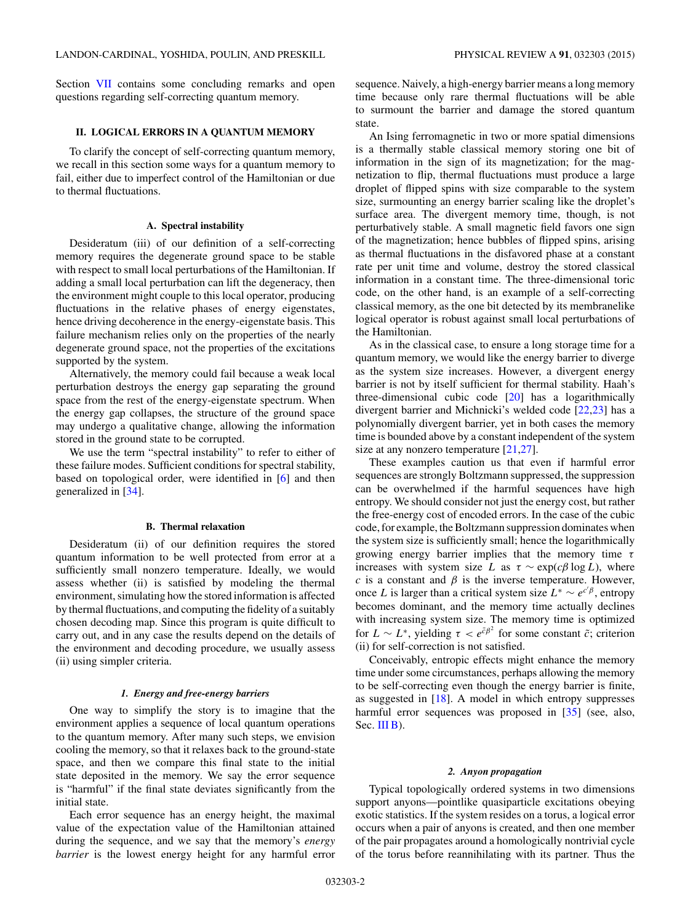<span id="page-1-0"></span>Section [VII](#page-7-0) contains some concluding remarks and open questions regarding self-correcting quantum memory.

## **II. LOGICAL ERRORS IN A QUANTUM MEMORY**

To clarify the concept of self-correcting quantum memory, we recall in this section some ways for a quantum memory to fail, either due to imperfect control of the Hamiltonian or due to thermal fluctuations.

### **A. Spectral instability**

Desideratum (iii) of our definition of a self-correcting memory requires the degenerate ground space to be stable with respect to small local perturbations of the Hamiltonian. If adding a small local perturbation can lift the degeneracy, then the environment might couple to this local operator, producing fluctuations in the relative phases of energy eigenstates, hence driving decoherence in the energy-eigenstate basis. This failure mechanism relies only on the properties of the nearly degenerate ground space, not the properties of the excitations supported by the system.

Alternatively, the memory could fail because a weak local perturbation destroys the energy gap separating the ground space from the rest of the energy-eigenstate spectrum. When the energy gap collapses, the structure of the ground space may undergo a qualitative change, allowing the information stored in the ground state to be corrupted.

We use the term "spectral instability" to refer to either of these failure modes. Sufficient conditions for spectral stability, based on topological order, were identified in [\[6\]](#page-10-0) and then generalized in [\[34\]](#page-11-0).

#### **B. Thermal relaxation**

Desideratum (ii) of our definition requires the stored quantum information to be well protected from error at a sufficiently small nonzero temperature. Ideally, we would assess whether (ii) is satisfied by modeling the thermal environment, simulating how the stored information is affected by thermal fluctuations, and computing the fidelity of a suitably chosen decoding map. Since this program is quite difficult to carry out, and in any case the results depend on the details of the environment and decoding procedure, we usually assess (ii) using simpler criteria.

## *1. Energy and free-energy barriers*

One way to simplify the story is to imagine that the environment applies a sequence of local quantum operations to the quantum memory. After many such steps, we envision cooling the memory, so that it relaxes back to the ground-state space, and then we compare this final state to the initial state deposited in the memory. We say the error sequence is "harmful" if the final state deviates significantly from the initial state.

Each error sequence has an energy height, the maximal value of the expectation value of the Hamiltonian attained during the sequence, and we say that the memory's *energy barrier* is the lowest energy height for any harmful error sequence. Naively, a high-energy barrier means a long memory time because only rare thermal fluctuations will be able to surmount the barrier and damage the stored quantum state.

An Ising ferromagnetic in two or more spatial dimensions is a thermally stable classical memory storing one bit of information in the sign of its magnetization; for the magnetization to flip, thermal fluctuations must produce a large droplet of flipped spins with size comparable to the system size, surmounting an energy barrier scaling like the droplet's surface area. The divergent memory time, though, is not perturbatively stable. A small magnetic field favors one sign of the magnetization; hence bubbles of flipped spins, arising as thermal fluctuations in the disfavored phase at a constant rate per unit time and volume, destroy the stored classical information in a constant time. The three-dimensional toric code, on the other hand, is an example of a self-correcting classical memory, as the one bit detected by its membranelike logical operator is robust against small local perturbations of the Hamiltonian.

As in the classical case, to ensure a long storage time for a quantum memory, we would like the energy barrier to diverge as the system size increases. However, a divergent energy barrier is not by itself sufficient for thermal stability. Haah's three-dimensional cubic code [\[20\]](#page-11-0) has a logarithmically divergent barrier and Michnicki's welded code [\[22,23\]](#page-11-0) has a polynomially divergent barrier, yet in both cases the memory time is bounded above by a constant independent of the system size at any nonzero temperature [\[21,27\]](#page-11-0).

These examples caution us that even if harmful error sequences are strongly Boltzmann suppressed, the suppression can be overwhelmed if the harmful sequences have high entropy. We should consider not just the energy cost, but rather the free-energy cost of encoded errors. In the case of the cubic code, for example, the Boltzmann suppression dominates when the system size is sufficiently small; hence the logarithmically growing energy barrier implies that the memory time *τ* increases with system size *L* as  $\tau \sim \exp(c\beta \log L)$ , where *c* is a constant and  $\beta$  is the inverse temperature. However, once *L* is larger than a critical system size  $L^* \sim e^{c^{\prime} \beta}$ , entropy becomes dominant, and the memory time actually declines with increasing system size. The memory time is optimized for  $L \sim L^*$ , yielding  $\tau < e^{\tilde{c}\beta^2}$  for some constant  $\tilde{c}$ ; criterion (ii) for self-correction is not satisfied.

Conceivably, entropic effects might enhance the memory time under some circumstances, perhaps allowing the memory to be self-correcting even though the energy barrier is finite, as suggested in [\[18\]](#page-11-0). A model in which entropy suppresses harmful error sequences was proposed in [\[35\]](#page-11-0) (see, also, Sec. [III B\)](#page-3-0).

### *2. Anyon propagation*

Typical topologically ordered systems in two dimensions support anyons—pointlike quasiparticle excitations obeying exotic statistics. If the system resides on a torus, a logical error occurs when a pair of anyons is created, and then one member of the pair propagates around a homologically nontrivial cycle of the torus before reannihilating with its partner. Thus the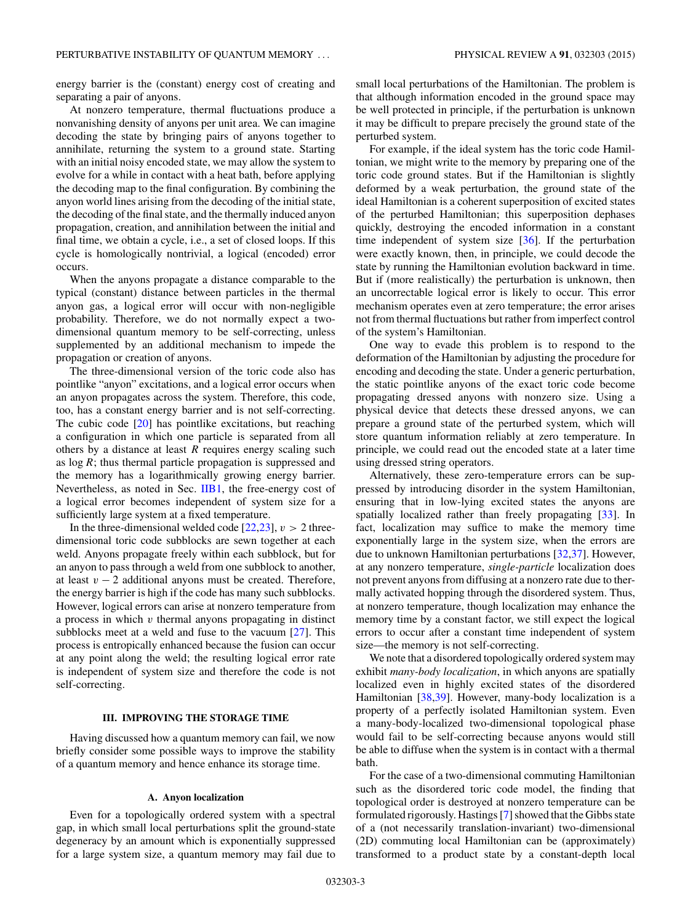<span id="page-2-0"></span>energy barrier is the (constant) energy cost of creating and separating a pair of anyons.

At nonzero temperature, thermal fluctuations produce a nonvanishing density of anyons per unit area. We can imagine decoding the state by bringing pairs of anyons together to annihilate, returning the system to a ground state. Starting with an initial noisy encoded state, we may allow the system to evolve for a while in contact with a heat bath, before applying the decoding map to the final configuration. By combining the anyon world lines arising from the decoding of the initial state, the decoding of the final state, and the thermally induced anyon propagation, creation, and annihilation between the initial and final time, we obtain a cycle, i.e., a set of closed loops. If this cycle is homologically nontrivial, a logical (encoded) error occurs.

When the anyons propagate a distance comparable to the typical (constant) distance between particles in the thermal anyon gas, a logical error will occur with non-negligible probability. Therefore, we do not normally expect a twodimensional quantum memory to be self-correcting, unless supplemented by an additional mechanism to impede the propagation or creation of anyons.

The three-dimensional version of the toric code also has pointlike "anyon" excitations, and a logical error occurs when an anyon propagates across the system. Therefore, this code, too, has a constant energy barrier and is not self-correcting. The cubic code [\[20\]](#page-11-0) has pointlike excitations, but reaching a configuration in which one particle is separated from all others by a distance at least *R* requires energy scaling such as log *R*; thus thermal particle propagation is suppressed and the memory has a logarithmically growing energy barrier. Nevertheless, as noted in Sec. [IIB1,](#page-1-0) the free-energy cost of a logical error becomes independent of system size for a sufficiently large system at a fixed temperature.

In the three-dimensional welded code  $[22,23]$ ,  $v > 2$  threedimensional toric code subblocks are sewn together at each weld. Anyons propagate freely within each subblock, but for an anyon to pass through a weld from one subblock to another, at least  $v - 2$  additional anyons must be created. Therefore, the energy barrier is high if the code has many such subblocks. However, logical errors can arise at nonzero temperature from a process in which *v* thermal anyons propagating in distinct subblocks meet at a weld and fuse to the vacuum [\[27\]](#page-11-0). This process is entropically enhanced because the fusion can occur at any point along the weld; the resulting logical error rate is independent of system size and therefore the code is not self-correcting.

## **III. IMPROVING THE STORAGE TIME**

Having discussed how a quantum memory can fail, we now briefly consider some possible ways to improve the stability of a quantum memory and hence enhance its storage time.

## **A. Anyon localization**

Even for a topologically ordered system with a spectral gap, in which small local perturbations split the ground-state degeneracy by an amount which is exponentially suppressed for a large system size, a quantum memory may fail due to

small local perturbations of the Hamiltonian. The problem is that although information encoded in the ground space may be well protected in principle, if the perturbation is unknown it may be difficult to prepare precisely the ground state of the perturbed system.

For example, if the ideal system has the toric code Hamiltonian, we might write to the memory by preparing one of the toric code ground states. But if the Hamiltonian is slightly deformed by a weak perturbation, the ground state of the ideal Hamiltonian is a coherent superposition of excited states of the perturbed Hamiltonian; this superposition dephases quickly, destroying the encoded information in a constant time independent of system size [\[36\]](#page-11-0). If the perturbation were exactly known, then, in principle, we could decode the state by running the Hamiltonian evolution backward in time. But if (more realistically) the perturbation is unknown, then an uncorrectable logical error is likely to occur. This error mechanism operates even at zero temperature; the error arises not from thermal fluctuations but rather from imperfect control of the system's Hamiltonian.

One way to evade this problem is to respond to the deformation of the Hamiltonian by adjusting the procedure for encoding and decoding the state. Under a generic perturbation, the static pointlike anyons of the exact toric code become propagating dressed anyons with nonzero size. Using a physical device that detects these dressed anyons, we can prepare a ground state of the perturbed system, which will store quantum information reliably at zero temperature. In principle, we could read out the encoded state at a later time using dressed string operators.

Alternatively, these zero-temperature errors can be suppressed by introducing disorder in the system Hamiltonian, ensuring that in low-lying excited states the anyons are spatially localized rather than freely propagating [\[33\]](#page-11-0). In fact, localization may suffice to make the memory time exponentially large in the system size, when the errors are due to unknown Hamiltonian perturbations [\[32,37\]](#page-11-0). However, at any nonzero temperature, *single-particle* localization does not prevent anyons from diffusing at a nonzero rate due to thermally activated hopping through the disordered system. Thus, at nonzero temperature, though localization may enhance the memory time by a constant factor, we still expect the logical errors to occur after a constant time independent of system size—the memory is not self-correcting.

We note that a disordered topologically ordered system may exhibit *many-body localization*, in which anyons are spatially localized even in highly excited states of the disordered Hamiltonian [\[38,39\]](#page-11-0). However, many-body localization is a property of a perfectly isolated Hamiltonian system. Even a many-body-localized two-dimensional topological phase would fail to be self-correcting because anyons would still be able to diffuse when the system is in contact with a thermal bath.

For the case of a two-dimensional commuting Hamiltonian such as the disordered toric code model, the finding that topological order is destroyed at nonzero temperature can be formulated rigorously. Hastings [\[7\]](#page-10-0) showed that the Gibbs state of a (not necessarily translation-invariant) two-dimensional (2D) commuting local Hamiltonian can be (approximately) transformed to a product state by a constant-depth local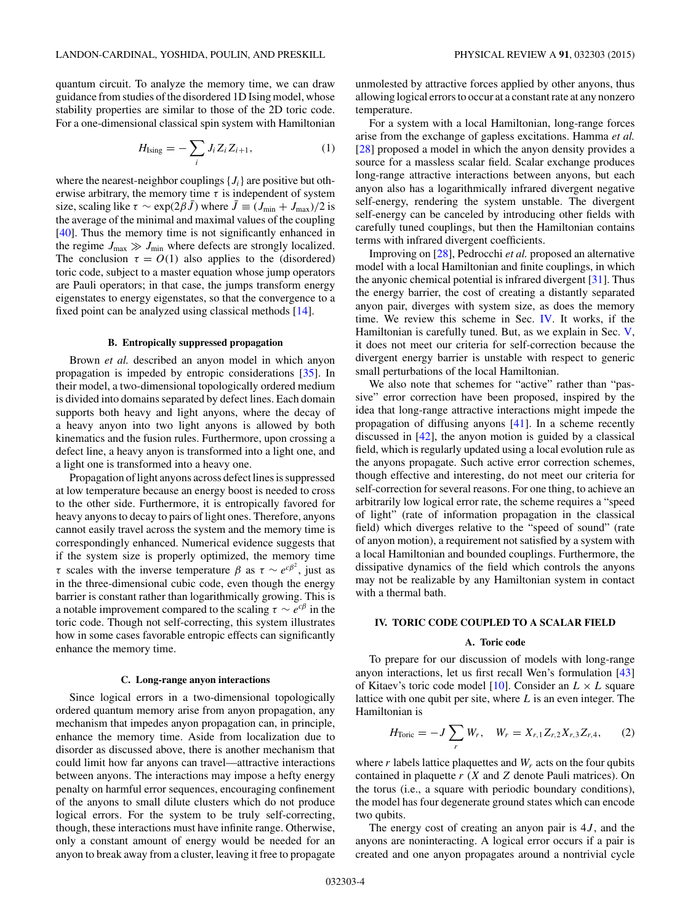<span id="page-3-0"></span>quantum circuit. To analyze the memory time, we can draw guidance from studies of the disordered 1D Ising model, whose stability properties are similar to those of the 2D toric code. For a one-dimensional classical spin system with Hamiltonian

$$
H_{\text{Ising}} = -\sum_{i} J_i Z_i Z_{i+1},\tag{1}
$$

where the nearest-neighbor couplings  $\{J_i\}$  are positive but otherwise arbitrary, the memory time  $\tau$  is independent of system size, scaling like  $\tau \sim \exp(2\beta \bar{J})$  where  $\bar{J} \equiv (J_{\min} + J_{\max})/2$  is the average of the minimal and maximal values of the coupling [\[40\]](#page-11-0). Thus the memory time is not significantly enhanced in the regime  $J_{\text{max}} \gg J_{\text{min}}$  where defects are strongly localized. The conclusion  $\tau = O(1)$  also applies to the (disordered) toric code, subject to a master equation whose jump operators are Pauli operators; in that case, the jumps transform energy eigenstates to energy eigenstates, so that the convergence to a fixed point can be analyzed using classical methods [\[14\]](#page-11-0).

### **B. Entropically suppressed propagation**

Brown *et al.* described an anyon model in which anyon propagation is impeded by entropic considerations [\[35\]](#page-11-0). In their model, a two-dimensional topologically ordered medium is divided into domains separated by defect lines. Each domain supports both heavy and light anyons, where the decay of a heavy anyon into two light anyons is allowed by both kinematics and the fusion rules. Furthermore, upon crossing a defect line, a heavy anyon is transformed into a light one, and a light one is transformed into a heavy one.

Propagation of light anyons across defect lines is suppressed at low temperature because an energy boost is needed to cross to the other side. Furthermore, it is entropically favored for heavy anyons to decay to pairs of light ones. Therefore, anyons cannot easily travel across the system and the memory time is correspondingly enhanced. Numerical evidence suggests that if the system size is properly optimized, the memory time *τ* scales with the inverse temperature  $\beta$  as  $\tau \sim e^{c\beta^2}$ , just as in the three-dimensional cubic code, even though the energy barrier is constant rather than logarithmically growing. This is a notable improvement compared to the scaling  $\tau \sim e^{c\beta}$  in the toric code. Though not self-correcting, this system illustrates how in some cases favorable entropic effects can significantly enhance the memory time.

#### **C. Long-range anyon interactions**

Since logical errors in a two-dimensional topologically ordered quantum memory arise from anyon propagation, any mechanism that impedes anyon propagation can, in principle, enhance the memory time. Aside from localization due to disorder as discussed above, there is another mechanism that could limit how far anyons can travel—attractive interactions between anyons. The interactions may impose a hefty energy penalty on harmful error sequences, encouraging confinement of the anyons to small dilute clusters which do not produce logical errors. For the system to be truly self-correcting, though, these interactions must have infinite range. Otherwise, only a constant amount of energy would be needed for an anyon to break away from a cluster, leaving it free to propagate unmolested by attractive forces applied by other anyons, thus allowing logical errors to occur at a constant rate at any nonzero temperature.

For a system with a local Hamiltonian, long-range forces arise from the exchange of gapless excitations. Hamma *et al.* [\[28\]](#page-11-0) proposed a model in which the anyon density provides a source for a massless scalar field. Scalar exchange produces long-range attractive interactions between anyons, but each anyon also has a logarithmically infrared divergent negative self-energy, rendering the system unstable. The divergent self-energy can be canceled by introducing other fields with carefully tuned couplings, but then the Hamiltonian contains terms with infrared divergent coefficients.

Improving on [\[28\]](#page-11-0), Pedrocchi *et al.* proposed an alternative model with a local Hamiltonian and finite couplings, in which the anyonic chemical potential is infrared divergent [\[31\]](#page-11-0). Thus the energy barrier, the cost of creating a distantly separated anyon pair, diverges with system size, as does the memory time. We review this scheme in Sec. IV. It works, if the Hamiltonian is carefully tuned. But, as we explain in Sec. [V,](#page-5-0) it does not meet our criteria for self-correction because the divergent energy barrier is unstable with respect to generic small perturbations of the local Hamiltonian.

We also note that schemes for "active" rather than "passive" error correction have been proposed, inspired by the idea that long-range attractive interactions might impede the propagation of diffusing anyons [\[41\]](#page-11-0). In a scheme recently discussed in [\[42\]](#page-11-0), the anyon motion is guided by a classical field, which is regularly updated using a local evolution rule as the anyons propagate. Such active error correction schemes, though effective and interesting, do not meet our criteria for self-correction for several reasons. For one thing, to achieve an arbitrarily low logical error rate, the scheme requires a "speed of light" (rate of information propagation in the classical field) which diverges relative to the "speed of sound" (rate of anyon motion), a requirement not satisfied by a system with a local Hamiltonian and bounded couplings. Furthermore, the dissipative dynamics of the field which controls the anyons may not be realizable by any Hamiltonian system in contact with a thermal bath.

## **IV. TORIC CODE COUPLED TO A SCALAR FIELD**

## **A. Toric code**

To prepare for our discussion of models with long-range anyon interactions, let us first recall Wen's formulation [\[43\]](#page-11-0) of Kitaev's toric code model [\[10\]](#page-11-0). Consider an  $L \times L$  square lattice with one qubit per site, where *L* is an even integer. The Hamiltonian is

$$
H_{\text{Toric}} = -J \sum_{r} W_{r}, \quad W_{r} = X_{r,1} Z_{r,2} X_{r,3} Z_{r,4}, \quad (2)
$$

where  $r$  labels lattice plaquettes and  $W_r$  acts on the four qubits contained in plaquette *r* (*X* and *Z* denote Pauli matrices). On the torus (i.e., a square with periodic boundary conditions), the model has four degenerate ground states which can encode two qubits.

The energy cost of creating an anyon pair is 4*J* , and the anyons are noninteracting. A logical error occurs if a pair is created and one anyon propagates around a nontrivial cycle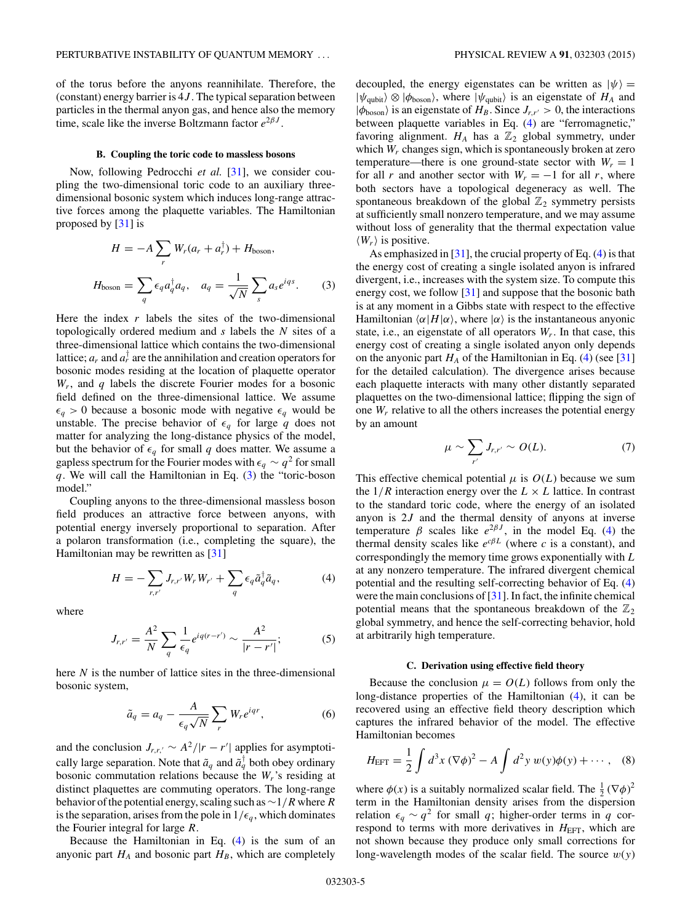<span id="page-4-0"></span>of the torus before the anyons reannihilate. Therefore, the (constant) energy barrier is 4*J* . The typical separation between particles in the thermal anyon gas, and hence also the memory time, scale like the inverse Boltzmann factor  $e^{2\beta J}$ .

## **B. Coupling the toric code to massless bosons**

Now, following Pedrocchi *et al.* [\[31\]](#page-11-0), we consider coupling the two-dimensional toric code to an auxiliary threedimensional bosonic system which induces long-range attractive forces among the plaquette variables. The Hamiltonian proposed by [\[31\]](#page-11-0) is

$$
H = -A \sum_{r} W_{r}(a_{r} + a_{r}^{\dagger}) + H_{boson},
$$

$$
H_{boson} = \sum_{q} \epsilon_{q} a_{q}^{\dagger} a_{q}, \quad a_{q} = \frac{1}{\sqrt{N}} \sum_{s} a_{s} e^{iqs}.
$$
(3)

Here the index *r* labels the sites of the two-dimensional topologically ordered medium and *s* labels the *N* sites of a three-dimensional lattice which contains the two-dimensional lattice;  $a_r$  and  $a_r^{\dagger}$  are the annihilation and creation operators for bosonic modes residing at the location of plaquette operator *Wr*, and *q* labels the discrete Fourier modes for a bosonic field defined on the three-dimensional lattice. We assume  $\epsilon_q > 0$  because a bosonic mode with negative  $\epsilon_q$  would be unstable. The precise behavior of  $\epsilon_q$  for large q does not matter for analyzing the long-distance physics of the model, but the behavior of  $\epsilon_q$  for small *q* does matter. We assume a gapless spectrum for the Fourier modes with  $\epsilon_q \sim q^2$  for small *q*. We will call the Hamiltonian in Eq. (3) the "toric-boson model."

Coupling anyons to the three-dimensional massless boson field produces an attractive force between anyons, with potential energy inversely proportional to separation. After a polaron transformation (i.e., completing the square), the Hamiltonian may be rewritten as [\[31\]](#page-11-0)

$$
H = -\sum_{r,r'} J_{r,r'} W_r W_{r'} + \sum_q \epsilon_q \tilde{a}_q^{\dagger} \tilde{a}_q, \tag{4}
$$

where

$$
J_{r,r'} = \frac{A^2}{N} \sum_{q} \frac{1}{\epsilon_q} e^{iq(r-r')} \sim \frac{A^2}{|r-r'|};
$$
 (5)

here *N* is the number of lattice sites in the three-dimensional bosonic system,

$$
\tilde{a}_q = a_q - \frac{A}{\epsilon_q \sqrt{N}} \sum_r W_r e^{iqr}, \qquad (6)
$$

and the conclusion  $J_{r,r,' \sim A^2/|r - r'|$  applies for asymptotically large separation. Note that  $\tilde{a}_q$  and  $\tilde{a}_q^{\dagger}$  both obey ordinary bosonic commutation relations because the *Wr*'s residing at distinct plaquettes are commuting operators. The long-range behavior of the potential energy, scaling such as∼1*/R* where *R* is the separation, arises from the pole in  $1/\epsilon_q$ , which dominates the Fourier integral for large *R*.

Because the Hamiltonian in Eq.  $(4)$  is the sum of an anyonic part  $H_A$  and bosonic part  $H_B$ , which are completely

decoupled, the energy eigenstates can be written as  $|\psi\rangle$  =  $|\psi_{\text{qubit}}\rangle \otimes |\phi_{\text{boson}}\rangle$ , where  $|\psi_{\text{qubit}}\rangle$  is an eigenstate of  $H_A$  and  $|\phi_{boson}\rangle$  is an eigenstate of  $H_B$ . Since  $J_{r,r'} > 0$ , the interactions between plaquette variables in Eq. (4) are "ferromagnetic," favoring alignment.  $H_A$  has a  $\mathbb{Z}_2$  global symmetry, under which *W<sub>r</sub>* changes sign, which is spontaneously broken at zero temperature—there is one ground-state sector with  $W_r = 1$ for all *r* and another sector with  $W_r = -1$  for all *r*, where both sectors have a topological degeneracy as well. The spontaneous breakdown of the global  $\mathbb{Z}_2$  symmetry persists at sufficiently small nonzero temperature, and we may assume without loss of generality that the thermal expectation value  $\langle W_r \rangle$  is positive.

As emphasized in  $[31]$ , the crucial property of Eq.  $(4)$  is that the energy cost of creating a single isolated anyon is infrared divergent, i.e., increases with the system size. To compute this energy cost, we follow [\[31\]](#page-11-0) and suppose that the bosonic bath is at any moment in a Gibbs state with respect to the effective Hamiltonian  $\langle \alpha | H | \alpha \rangle$ , where  $| \alpha \rangle$  is the instantaneous anyonic state, i.e., an eigenstate of all operators  $W_r$ . In that case, this energy cost of creating a single isolated anyon only depends on the anyonic part  $H_A$  of the Hamiltonian in Eq. (4) (see [\[31\]](#page-11-0) for the detailed calculation). The divergence arises because each plaquette interacts with many other distantly separated plaquettes on the two-dimensional lattice; flipping the sign of one *Wr* relative to all the others increases the potential energy by an amount

$$
\mu \sim \sum_{r'} J_{r,r'} \sim O(L). \tag{7}
$$

This effective chemical potential  $\mu$  is  $O(L)$  because we sum the  $1/R$  interaction energy over the  $L \times L$  lattice. In contrast to the standard toric code, where the energy of an isolated anyon is 2*J* and the thermal density of anyons at inverse temperature  $\beta$  scales like  $e^{2\beta J}$ , in the model Eq. (4) the thermal density scales like  $e^{c\beta L}$  (where *c* is a constant), and correspondingly the memory time grows exponentially with *L* at any nonzero temperature. The infrared divergent chemical potential and the resulting self-correcting behavior of Eq. (4) were the main conclusions of [\[31\]](#page-11-0). In fact, the infinite chemical potential means that the spontaneous breakdown of the  $\mathbb{Z}_2$ global symmetry, and hence the self-correcting behavior, hold at arbitrarily high temperature.

#### **C. Derivation using effective field theory**

Because the conclusion  $\mu = O(L)$  follows from only the long-distance properties of the Hamiltonian (4), it can be recovered using an effective field theory description which captures the infrared behavior of the model. The effective Hamiltonian becomes

$$
H_{\text{EFT}} = \frac{1}{2} \int d^3 x \, (\nabla \phi)^2 - A \int d^2 y \, w(y) \phi(y) + \cdots , \quad (8)
$$

where  $\phi(x)$  is a suitably normalized scalar field. The  $\frac{1}{2} (\nabla \phi)^2$ term in the Hamiltonian density arises from the dispersion relation  $\epsilon_q \sim q^2$  for small *q*; higher-order terms in *q* correspond to terms with more derivatives in *H*<sub>EFT</sub>, which are not shown because they produce only small corrections for long-wavelength modes of the scalar field. The source *w*(*y*)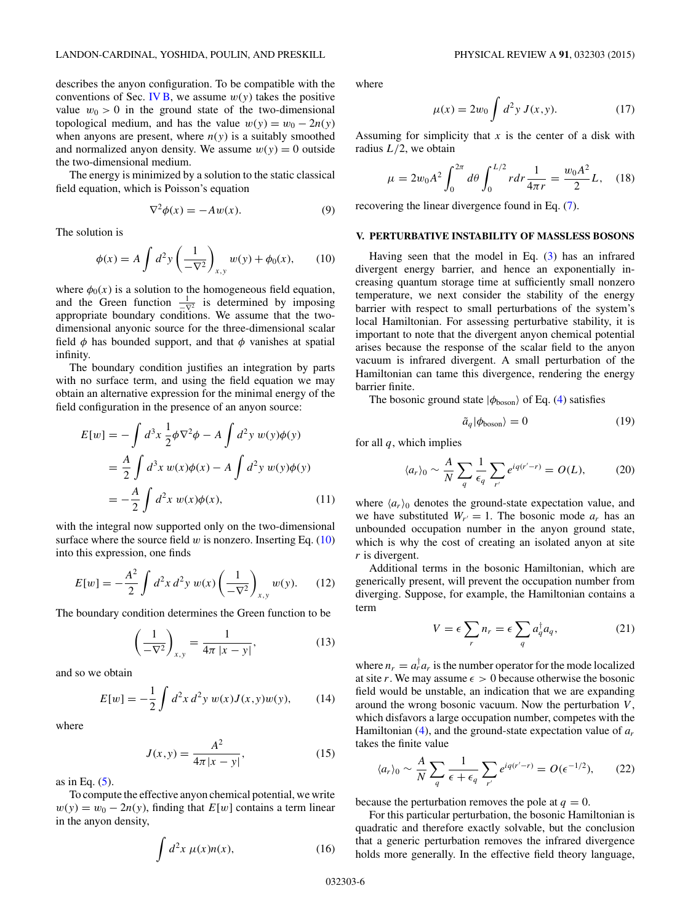<span id="page-5-0"></span>describes the anyon configuration. To be compatible with the conventions of Sec. [IV B,](#page-4-0) we assume  $w(y)$  takes the positive value  $w_0 > 0$  in the ground state of the two-dimensional topological medium, and has the value  $w(y) = w_0 - 2n(y)$ when anyons are present, where  $n(y)$  is a suitably smoothed and normalized anyon density. We assume  $w(y) = 0$  outside the two-dimensional medium.

The energy is minimized by a solution to the static classical field equation, which is Poisson's equation

$$
\nabla^2 \phi(x) = -Aw(x). \tag{9}
$$

The solution is

$$
\phi(x) = A \int d^2 y \left( \frac{1}{-\nabla^2} \right)_{x,y} w(y) + \phi_0(x), \quad (10)
$$

where  $\phi_0(x)$  is a solution to the homogeneous field equation, and the Green function  $\frac{1}{-\nabla^2}$  is determined by imposing appropriate boundary conditions. We assume that the twodimensional anyonic source for the three-dimensional scalar field  $\phi$  has bounded support, and that  $\phi$  vanishes at spatial infinity.

The boundary condition justifies an integration by parts with no surface term, and using the field equation we may obtain an alternative expression for the minimal energy of the field configuration in the presence of an anyon source:

$$
E[w] = -\int d^3x \frac{1}{2} \phi \nabla^2 \phi - A \int d^2y \, w(y) \phi(y)
$$
  
=  $\frac{A}{2} \int d^3x \, w(x) \phi(x) - A \int d^2y \, w(y) \phi(y)$   
=  $-\frac{A}{2} \int d^2x \, w(x) \phi(x),$  (11)

with the integral now supported only on the two-dimensional surface where the source field  $w$  is nonzero. Inserting Eq.  $(10)$ into this expression, one finds

$$
E[w] = -\frac{A^2}{2} \int d^2x \, d^2y \, w(x) \left(\frac{1}{-\nabla^2}\right)_{x,y} w(y). \tag{12}
$$

The boundary condition determines the Green function to be

$$
\left(\frac{1}{-\nabla^2}\right)_{x,y} = \frac{1}{4\pi |x-y|},\tag{13}
$$

and so we obtain

$$
E[w] = -\frac{1}{2} \int d^2x \, d^2y \, w(x) J(x, y) w(y), \qquad (14)
$$

where

$$
J(x,y) = \frac{A^2}{4\pi|x-y|},
$$
\n(15)

as in Eq.  $(5)$ .

To compute the effective anyon chemical potential, we write  $w(y) = w_0 - 2n(y)$ , finding that  $E[w]$  contains a term linear in the anyon density,

$$
\int d^2x \, \mu(x)n(x),\tag{16}
$$

where

$$
\mu(x) = 2w_0 \int d^2y \, J(x, y). \tag{17}
$$

Assuming for simplicity that *x* is the center of a disk with radius *L/*2, we obtain

$$
\mu = 2w_0 A^2 \int_0^{2\pi} d\theta \int_0^{L/2} r dr \frac{1}{4\pi r} = \frac{w_0 A^2}{2} L, \quad (18)
$$

recovering the linear divergence found in Eq. [\(7\)](#page-4-0).

## **V. PERTURBATIVE INSTABILITY OF MASSLESS BOSONS**

Having seen that the model in Eq. [\(3\)](#page-4-0) has an infrared divergent energy barrier, and hence an exponentially increasing quantum storage time at sufficiently small nonzero temperature, we next consider the stability of the energy barrier with respect to small perturbations of the system's local Hamiltonian. For assessing perturbative stability, it is important to note that the divergent anyon chemical potential arises because the response of the scalar field to the anyon vacuum is infrared divergent. A small perturbation of the Hamiltonian can tame this divergence, rendering the energy barrier finite.

The bosonic ground state  $|\phi_{\text{boson}}\rangle$  of Eq. [\(4\)](#page-4-0) satisfies

$$
\tilde{a}_q |\phi_{\text{boson}}\rangle = 0 \tag{19}
$$

for all *q*, which implies

$$
\langle a_r \rangle_0 \sim \frac{A}{N} \sum_{q} \frac{1}{\epsilon_q} \sum_{r'} e^{iq(r'-r)} = O(L), \tag{20}
$$

where  $\langle a_r \rangle_0$  denotes the ground-state expectation value, and we have substituted  $W_{r'} = 1$ . The bosonic mode  $a_r$  has an unbounded occupation number in the anyon ground state, which is why the cost of creating an isolated anyon at site *r* is divergent.

Additional terms in the bosonic Hamiltonian, which are generically present, will prevent the occupation number from diverging. Suppose, for example, the Hamiltonian contains a term

$$
V = \epsilon \sum_{r} n_r = \epsilon \sum_{q} a_q^{\dagger} a_q, \qquad (21)
$$

where  $n_r = a_r^\dagger a_r$  is the number operator for the mode localized at site *r*. We may assume  $\epsilon > 0$  because otherwise the bosonic field would be unstable, an indication that we are expanding around the wrong bosonic vacuum. Now the perturbation *V* , which disfavors a large occupation number, competes with the Hamiltonian [\(4\)](#page-4-0), and the ground-state expectation value of *ar* takes the finite value

$$
\langle a_r \rangle_0 \sim \frac{A}{N} \sum_{q} \frac{1}{\epsilon + \epsilon_q} \sum_{r'} e^{iq(r'-r)} = O(\epsilon^{-1/2}), \qquad (22)
$$

because the perturbation removes the pole at  $q = 0$ .

For this particular perturbation, the bosonic Hamiltonian is quadratic and therefore exactly solvable, but the conclusion that a generic perturbation removes the infrared divergence holds more generally. In the effective field theory language,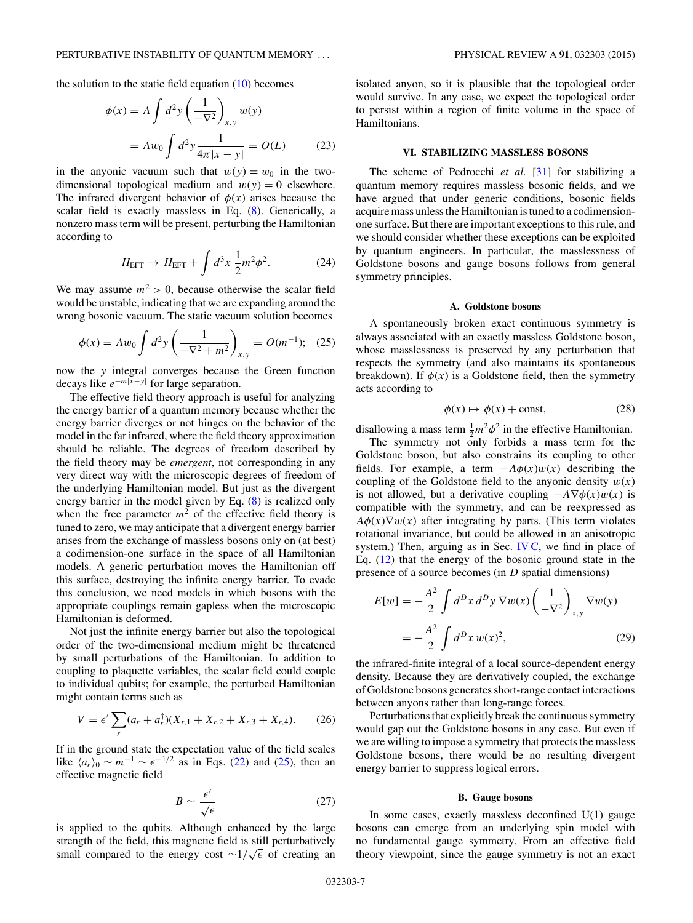<span id="page-6-0"></span>the solution to the static field equation  $(10)$  becomes

$$
\phi(x) = A \int d^2 y \left( \frac{1}{-\nabla^2} \right)_{x,y} w(y)
$$
  
=  $A w_0 \int d^2 y \frac{1}{4\pi |x - y|} = O(L)$  (23)

in the anyonic vacuum such that  $w(y) = w_0$  in the twodimensional topological medium and  $w(y) = 0$  elsewhere. The infrared divergent behavior of  $\phi(x)$  arises because the scalar field is exactly massless in Eq. [\(8\)](#page-4-0). Generically, a nonzero mass term will be present, perturbing the Hamiltonian according to

$$
H_{\text{EFT}} \to H_{\text{EFT}} + \int d^3x \frac{1}{2} m^2 \phi^2. \tag{24}
$$

We may assume  $m^2 > 0$ , because otherwise the scalar field would be unstable, indicating that we are expanding around the wrong bosonic vacuum. The static vacuum solution becomes

$$
\phi(x) = Aw_0 \int d^2y \left( \frac{1}{-\nabla^2 + m^2} \right)_{x,y} = O(m^{-1}); \quad (25)
$$

now the *y* integral converges because the Green function decays like *e*−*m*|*x*−*y*<sup>|</sup> for large separation.

The effective field theory approach is useful for analyzing the energy barrier of a quantum memory because whether the energy barrier diverges or not hinges on the behavior of the model in the far infrared, where the field theory approximation should be reliable. The degrees of freedom described by the field theory may be *emergent*, not corresponding in any very direct way with the microscopic degrees of freedom of the underlying Hamiltonian model. But just as the divergent energy barrier in the model given by Eq. [\(8\)](#page-4-0) is realized only when the free parameter  $m^2$  of the effective field theory is tuned to zero, we may anticipate that a divergent energy barrier arises from the exchange of massless bosons only on (at best) a codimension-one surface in the space of all Hamiltonian models. A generic perturbation moves the Hamiltonian off this surface, destroying the infinite energy barrier. To evade this conclusion, we need models in which bosons with the appropriate couplings remain gapless when the microscopic Hamiltonian is deformed.

Not just the infinite energy barrier but also the topological order of the two-dimensional medium might be threatened by small perturbations of the Hamiltonian. In addition to coupling to plaquette variables, the scalar field could couple to individual qubits; for example, the perturbed Hamiltonian might contain terms such as

$$
V = \epsilon' \sum_{r} (a_r + a_r^{\dagger}) (X_{r,1} + X_{r,2} + X_{r,3} + X_{r,4}). \tag{26}
$$

If in the ground state the expectation value of the field scales like  $\langle a_r \rangle_0 \sim m^{-1} \sim \epsilon^{-1/2}$  as in Eqs. [\(22\)](#page-5-0) and (25), then an effective magnetic field

$$
B \sim \frac{\epsilon'}{\sqrt{\epsilon}}\tag{27}
$$

is applied to the qubits. Although enhanced by the large strength of the field, this magnetic field is still perturbatively strength of the field, this magnetic field is still perturbatively<br>small compared to the energy cost ∼1/√∈ of creating an

isolated anyon, so it is plausible that the topological order would survive. In any case, we expect the topological order to persist within a region of finite volume in the space of Hamiltonians.

## **VI. STABILIZING MASSLESS BOSONS**

The scheme of Pedrocchi *et al.* [\[31\]](#page-11-0) for stabilizing a quantum memory requires massless bosonic fields, and we have argued that under generic conditions, bosonic fields acquire mass unless the Hamiltonian is tuned to a codimensionone surface. But there are important exceptions to this rule, and we should consider whether these exceptions can be exploited by quantum engineers. In particular, the masslessness of Goldstone bosons and gauge bosons follows from general symmetry principles.

## **A. Goldstone bosons**

A spontaneously broken exact continuous symmetry is always associated with an exactly massless Goldstone boson, whose masslessness is preserved by any perturbation that respects the symmetry (and also maintains its spontaneous breakdown). If  $\phi(x)$  is a Goldstone field, then the symmetry acts according to

$$
\phi(x) \mapsto \phi(x) + \text{const},\tag{28}
$$

disallowing a mass term  $\frac{1}{2}m^2\phi^2$  in the effective Hamiltonian.

The symmetry not only forbids a mass term for the Goldstone boson, but also constrains its coupling to other fields. For example, a term  $-A\phi(x)w(x)$  describing the coupling of the Goldstone field to the anyonic density  $w(x)$ is not allowed, but a derivative coupling  $-A\nabla\phi(x)w(x)$  is compatible with the symmetry, and can be reexpressed as  $A\phi(x)\nabla w(x)$  after integrating by parts. (This term violates rotational invariance, but could be allowed in an anisotropic system.) Then, arguing as in Sec. IV  $C$ , we find in place of Eq.  $(12)$  that the energy of the bosonic ground state in the presence of a source becomes (in *D* spatial dimensions)

$$
E[w] = -\frac{A^2}{2} \int d^D x \, d^D y \, \nabla w(x) \left(\frac{1}{-\nabla^2}\right)_{x,y} \nabla w(y)
$$

$$
= -\frac{A^2}{2} \int d^D x \, w(x)^2,
$$
(29)

the infrared-finite integral of a local source-dependent energy density. Because they are derivatively coupled, the exchange of Goldstone bosons generates short-range contact interactions between anyons rather than long-range forces.

Perturbations that explicitly break the continuous symmetry would gap out the Goldstone bosons in any case. But even if we are willing to impose a symmetry that protects the massless Goldstone bosons, there would be no resulting divergent energy barrier to suppress logical errors.

### **B. Gauge bosons**

In some cases, exactly massless deconfined  $U(1)$  gauge bosons can emerge from an underlying spin model with no fundamental gauge symmetry. From an effective field theory viewpoint, since the gauge symmetry is not an exact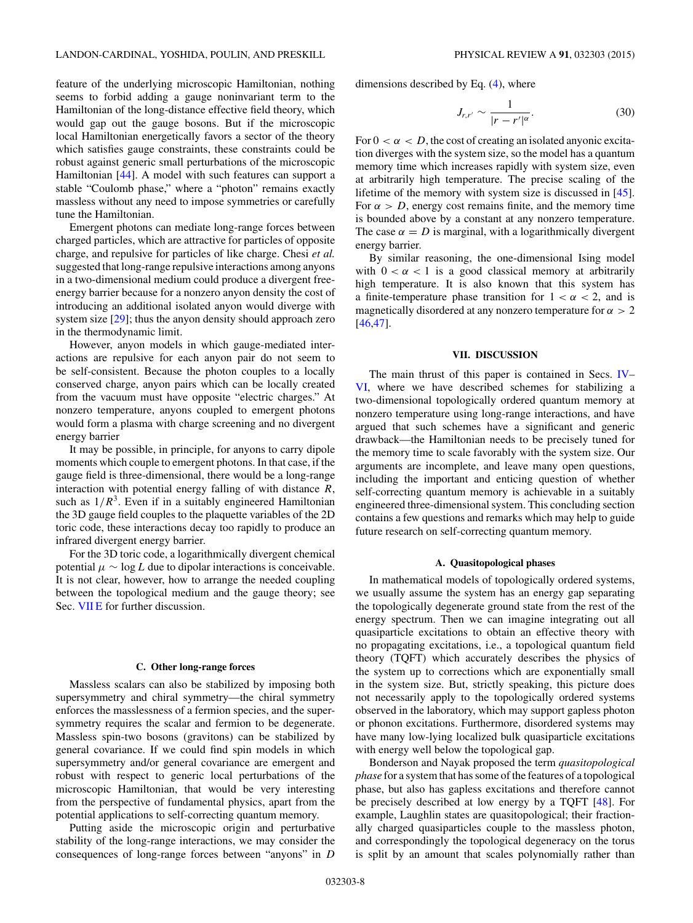<span id="page-7-0"></span>feature of the underlying microscopic Hamiltonian, nothing seems to forbid adding a gauge noninvariant term to the Hamiltonian of the long-distance effective field theory, which would gap out the gauge bosons. But if the microscopic local Hamiltonian energetically favors a sector of the theory which satisfies gauge constraints, these constraints could be robust against generic small perturbations of the microscopic Hamiltonian [\[44\]](#page-11-0). A model with such features can support a stable "Coulomb phase," where a "photon" remains exactly massless without any need to impose symmetries or carefully tune the Hamiltonian.

Emergent photons can mediate long-range forces between charged particles, which are attractive for particles of opposite charge, and repulsive for particles of like charge. Chesi *et al.* suggested that long-range repulsive interactions among anyons in a two-dimensional medium could produce a divergent freeenergy barrier because for a nonzero anyon density the cost of introducing an additional isolated anyon would diverge with system size [\[29\]](#page-11-0); thus the anyon density should approach zero in the thermodynamic limit.

However, anyon models in which gauge-mediated interactions are repulsive for each anyon pair do not seem to be self-consistent. Because the photon couples to a locally conserved charge, anyon pairs which can be locally created from the vacuum must have opposite "electric charges." At nonzero temperature, anyons coupled to emergent photons would form a plasma with charge screening and no divergent energy barrier

It may be possible, in principle, for anyons to carry dipole moments which couple to emergent photons. In that case, if the gauge field is three-dimensional, there would be a long-range interaction with potential energy falling of with distance *R*, such as  $1/R<sup>3</sup>$ . Even if in a suitably engineered Hamiltonian the 3D gauge field couples to the plaquette variables of the 2D toric code, these interactions decay too rapidly to produce an infrared divergent energy barrier.

For the 3D toric code, a logarithmically divergent chemical potential  $\mu \sim \log L$  due to dipolar interactions is conceivable. It is not clear, however, how to arrange the needed coupling between the topological medium and the gauge theory; see Sec. VIIE for further discussion.

## **C. Other long-range forces**

Massless scalars can also be stabilized by imposing both supersymmetry and chiral symmetry—the chiral symmetry enforces the masslessness of a fermion species, and the supersymmetry requires the scalar and fermion to be degenerate. Massless spin-two bosons (gravitons) can be stabilized by general covariance. If we could find spin models in which supersymmetry and/or general covariance are emergent and robust with respect to generic local perturbations of the microscopic Hamiltonian, that would be very interesting from the perspective of fundamental physics, apart from the potential applications to self-correcting quantum memory.

Putting aside the microscopic origin and perturbative stability of the long-range interactions, we may consider the consequences of long-range forces between "anyons" in *D* dimensions described by Eq. [\(4\)](#page-4-0), where

$$
J_{r,r'} \sim \frac{1}{|r - r'|^{\alpha}}.\tag{30}
$$

For  $0 < \alpha < D$ , the cost of creating an isolated anyonic excitation diverges with the system size, so the model has a quantum memory time which increases rapidly with system size, even at arbitrarily high temperature. The precise scaling of the lifetime of the memory with system size is discussed in [\[45\]](#page-11-0). For  $\alpha > D$ , energy cost remains finite, and the memory time is bounded above by a constant at any nonzero temperature. The case  $\alpha = D$  is marginal, with a logarithmically divergent energy barrier.

By similar reasoning, the one-dimensional Ising model with  $0 < \alpha < 1$  is a good classical memory at arbitrarily high temperature. It is also known that this system has a finite-temperature phase transition for  $1 < \alpha < 2$ , and is magnetically disordered at any nonzero temperature for *α >* 2 [\[46,47\]](#page-11-0).

## **VII. DISCUSSION**

The main thrust of this paper is contained in Secs. [IV–](#page-3-0) [VI,](#page-6-0) where we have described schemes for stabilizing a two-dimensional topologically ordered quantum memory at nonzero temperature using long-range interactions, and have argued that such schemes have a significant and generic drawback—the Hamiltonian needs to be precisely tuned for the memory time to scale favorably with the system size. Our arguments are incomplete, and leave many open questions, including the important and enticing question of whether self-correcting quantum memory is achievable in a suitably engineered three-dimensional system. This concluding section contains a few questions and remarks which may help to guide future research on self-correcting quantum memory.

#### **A. Quasitopological phases**

In mathematical models of topologically ordered systems, we usually assume the system has an energy gap separating the topologically degenerate ground state from the rest of the energy spectrum. Then we can imagine integrating out all quasiparticle excitations to obtain an effective theory with no propagating excitations, i.e., a topological quantum field theory (TQFT) which accurately describes the physics of the system up to corrections which are exponentially small in the system size. But, strictly speaking, this picture does not necessarily apply to the topologically ordered systems observed in the laboratory, which may support gapless photon or phonon excitations. Furthermore, disordered systems may have many low-lying localized bulk quasiparticle excitations with energy well below the topological gap.

Bonderson and Nayak proposed the term *quasitopological phase* for a system that has some of the features of a topological phase, but also has gapless excitations and therefore cannot be precisely described at low energy by a TQFT [\[48\]](#page-11-0). For example, Laughlin states are quasitopological; their fractionally charged quasiparticles couple to the massless photon, and correspondingly the topological degeneracy on the torus is split by an amount that scales polynomially rather than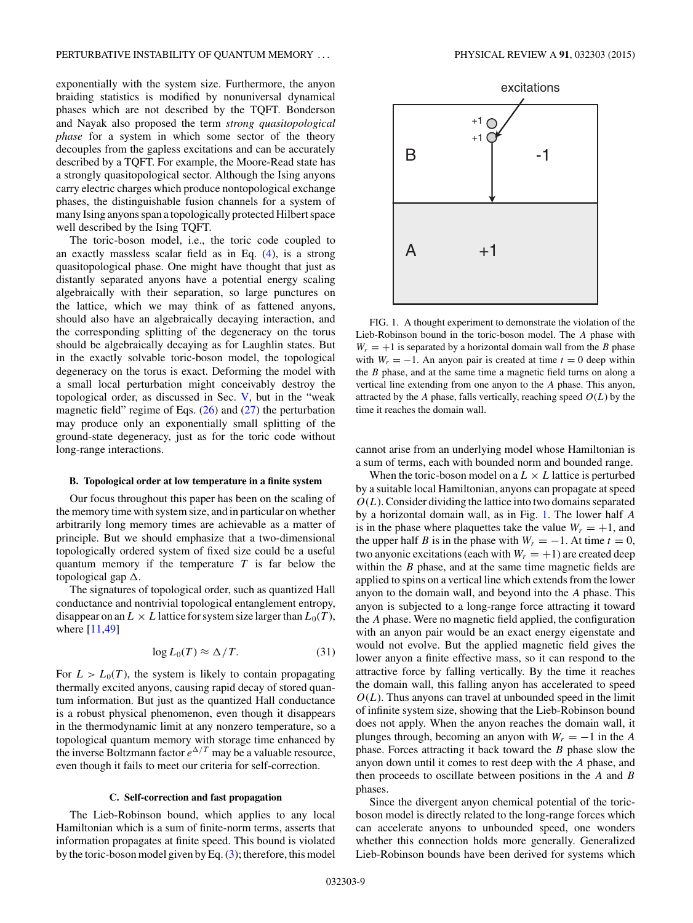<span id="page-8-0"></span>exponentially with the system size. Furthermore, the anyon braiding statistics is modified by nonuniversal dynamical phases which are not described by the TQFT. Bonderson and Nayak also proposed the term *strong quasitopological phase* for a system in which some sector of the theory decouples from the gapless excitations and can be accurately described by a TQFT. For example, the Moore-Read state has a strongly quasitopological sector. Although the Ising anyons carry electric charges which produce nontopological exchange phases, the distinguishable fusion channels for a system of many Ising anyons span a topologically protected Hilbert space well described by the Ising TQFT.

The toric-boson model, i.e., the toric code coupled to an exactly massless scalar field as in Eq. [\(4\)](#page-4-0), is a strong quasitopological phase. One might have thought that just as distantly separated anyons have a potential energy scaling algebraically with their separation, so large punctures on the lattice, which we may think of as fattened anyons, should also have an algebraically decaying interaction, and the corresponding splitting of the degeneracy on the torus should be algebraically decaying as for Laughlin states. But in the exactly solvable toric-boson model, the topological degeneracy on the torus is exact. Deforming the model with a small local perturbation might conceivably destroy the topological order, as discussed in Sec. [V,](#page-5-0) but in the "weak magnetic field" regime of Eqs.  $(26)$  and  $(27)$  the perturbation may produce only an exponentially small splitting of the ground-state degeneracy, just as for the toric code without long-range interactions.

#### **B. Topological order at low temperature in a finite system**

Our focus throughout this paper has been on the scaling of the memory time with system size, and in particular on whether arbitrarily long memory times are achievable as a matter of principle. But we should emphasize that a two-dimensional topologically ordered system of fixed size could be a useful quantum memory if the temperature *T* is far below the topological gap .

The signatures of topological order, such as quantized Hall conductance and nontrivial topological entanglement entropy, disappear on an  $L \times L$  lattice for system size larger than  $L_0(T)$ , where [\[11,49\]](#page-11-0)

$$
\log L_0(T) \approx \Delta/T. \tag{31}
$$

For  $L > L_0(T)$ , the system is likely to contain propagating thermally excited anyons, causing rapid decay of stored quantum information. But just as the quantized Hall conductance is a robust physical phenomenon, even though it disappears in the thermodynamic limit at any nonzero temperature, so a topological quantum memory with storage time enhanced by the inverse Boltzmann factor  $e^{\Delta/T}$  may be a valuable resource, even though it fails to meet our criteria for self-correction.

## **C. Self-correction and fast propagation**

The Lieb-Robinson bound, which applies to any local Hamiltonian which is a sum of finite-norm terms, asserts that information propagates at finite speed. This bound is violated by the toric-boson model given by Eq. [\(3\)](#page-4-0); therefore, this model



FIG. 1. A thought experiment to demonstrate the violation of the Lieb-Robinson bound in the toric-boson model. The *A* phase with  $W_r = +1$  is separated by a horizontal domain wall from the *B* phase with  $W_r = -1$ . An anyon pair is created at time  $t = 0$  deep within the *B* phase, and at the same time a magnetic field turns on along a vertical line extending from one anyon to the *A* phase. This anyon, attracted by the *A* phase, falls vertically, reaching speed  $O(L)$  by the time it reaches the domain wall.

cannot arise from an underlying model whose Hamiltonian is a sum of terms, each with bounded norm and bounded range.

When the toric-boson model on a  $L \times L$  lattice is perturbed by a suitable local Hamiltonian, anyons can propagate at speed  $O(L)$ . Consider dividing the lattice into two domains separated by a horizontal domain wall, as in Fig. 1. The lower half *A* is in the phase where plaquettes take the value  $W_r = +1$ , and the upper half *B* is in the phase with  $W_r = -1$ . At time  $t = 0$ , two anyonic excitations (each with  $W_r = +1$ ) are created deep within the *B* phase, and at the same time magnetic fields are applied to spins on a vertical line which extends from the lower anyon to the domain wall, and beyond into the *A* phase. This anyon is subjected to a long-range force attracting it toward the *A* phase. Were no magnetic field applied, the configuration with an anyon pair would be an exact energy eigenstate and would not evolve. But the applied magnetic field gives the lower anyon a finite effective mass, so it can respond to the attractive force by falling vertically. By the time it reaches the domain wall, this falling anyon has accelerated to speed  $O(L)$ . Thus anyons can travel at unbounded speed in the limit of infinite system size, showing that the Lieb-Robinson bound does not apply. When the anyon reaches the domain wall, it plunges through, becoming an anyon with  $W_r = -1$  in the *A* phase. Forces attracting it back toward the *B* phase slow the anyon down until it comes to rest deep with the *A* phase, and then proceeds to oscillate between positions in the *A* and *B* phases.

Since the divergent anyon chemical potential of the toricboson model is directly related to the long-range forces which can accelerate anyons to unbounded speed, one wonders whether this connection holds more generally. Generalized Lieb-Robinson bounds have been derived for systems which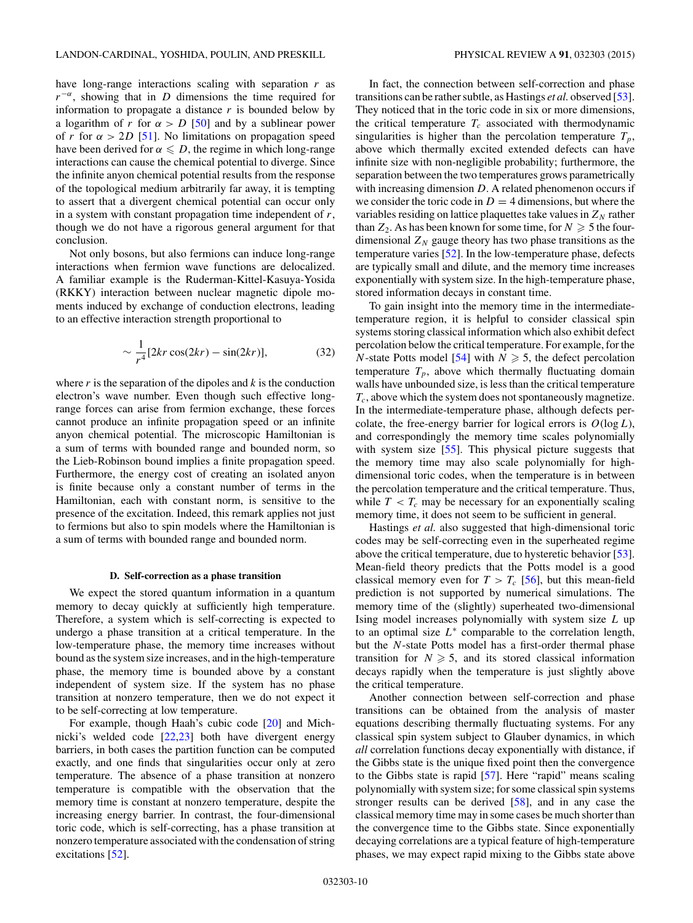have long-range interactions scaling with separation *r* as  $r^{-\alpha}$ , showing that in *D* dimensions the time required for information to propagate a distance *r* is bounded below by a logarithm of *r* for  $\alpha > D$  [\[50\]](#page-11-0) and by a sublinear power of *r* for  $\alpha > 2D$  [\[51\]](#page-11-0). No limitations on propagation speed have been derived for  $\alpha \leq D$ , the regime in which long-range interactions can cause the chemical potential to diverge. Since the infinite anyon chemical potential results from the response of the topological medium arbitrarily far away, it is tempting to assert that a divergent chemical potential can occur only in a system with constant propagation time independent of *r*, though we do not have a rigorous general argument for that conclusion.

Not only bosons, but also fermions can induce long-range interactions when fermion wave functions are delocalized. A familiar example is the Ruderman-Kittel-Kasuya-Yosida (RKKY) interaction between nuclear magnetic dipole moments induced by exchange of conduction electrons, leading to an effective interaction strength proportional to

$$
\sim \frac{1}{r^4} [2kr \cos(2kr) - \sin(2kr)],\tag{32}
$$

where  $r$  is the separation of the dipoles and  $k$  is the conduction electron's wave number. Even though such effective longrange forces can arise from fermion exchange, these forces cannot produce an infinite propagation speed or an infinite anyon chemical potential. The microscopic Hamiltonian is a sum of terms with bounded range and bounded norm, so the Lieb-Robinson bound implies a finite propagation speed. Furthermore, the energy cost of creating an isolated anyon is finite because only a constant number of terms in the Hamiltonian, each with constant norm, is sensitive to the presence of the excitation. Indeed, this remark applies not just to fermions but also to spin models where the Hamiltonian is a sum of terms with bounded range and bounded norm.

#### **D. Self-correction as a phase transition**

We expect the stored quantum information in a quantum memory to decay quickly at sufficiently high temperature. Therefore, a system which is self-correcting is expected to undergo a phase transition at a critical temperature. In the low-temperature phase, the memory time increases without bound as the system size increases, and in the high-temperature phase, the memory time is bounded above by a constant independent of system size. If the system has no phase transition at nonzero temperature, then we do not expect it to be self-correcting at low temperature.

For example, though Haah's cubic code [\[20\]](#page-11-0) and Michnicki's welded code [\[22,23\]](#page-11-0) both have divergent energy barriers, in both cases the partition function can be computed exactly, and one finds that singularities occur only at zero temperature. The absence of a phase transition at nonzero temperature is compatible with the observation that the memory time is constant at nonzero temperature, despite the increasing energy barrier. In contrast, the four-dimensional toric code, which is self-correcting, has a phase transition at nonzero temperature associated with the condensation of string excitations [\[52\]](#page-11-0).

In fact, the connection between self-correction and phase transitions can be rather subtle, as Hastings *et al.* observed [\[53\]](#page-11-0). They noticed that in the toric code in six or more dimensions, the critical temperature  $T_c$  associated with thermodynamic singularities is higher than the percolation temperature  $T_p$ , above which thermally excited extended defects can have infinite size with non-negligible probability; furthermore, the separation between the two temperatures grows parametrically with increasing dimension *D*. A related phenomenon occurs if we consider the toric code in  $D = 4$  dimensions, but where the variables residing on lattice plaquettes take values in  $Z_N$  rather than  $Z_2$ . As has been known for some time, for  $N \geq 5$  the fourdimensional  $Z_N$  gauge theory has two phase transitions as the temperature varies [\[52\]](#page-11-0). In the low-temperature phase, defects are typically small and dilute, and the memory time increases exponentially with system size. In the high-temperature phase, stored information decays in constant time.

To gain insight into the memory time in the intermediatetemperature region, it is helpful to consider classical spin systems storing classical information which also exhibit defect percolation below the critical temperature. For example, for the *N*-state Potts model [\[54\]](#page-11-0) with  $N \ge 5$ , the defect percolation temperature  $T_p$ , above which thermally fluctuating domain walls have unbounded size, is less than the critical temperature *Tc*, above which the system does not spontaneously magnetize. In the intermediate-temperature phase, although defects percolate, the free-energy barrier for logical errors is  $O(\log L)$ , and correspondingly the memory time scales polynomially with system size [\[55\]](#page-11-0). This physical picture suggests that the memory time may also scale polynomially for highdimensional toric codes, when the temperature is in between the percolation temperature and the critical temperature. Thus, while  $T < T_c$  may be necessary for an exponentially scaling memory time, it does not seem to be sufficient in general.

Hastings *et al.* also suggested that high-dimensional toric codes may be self-correcting even in the superheated regime above the critical temperature, due to hysteretic behavior [\[53\]](#page-11-0). Mean-field theory predicts that the Potts model is a good classical memory even for  $T > T_c$  [\[56\]](#page-11-0), but this mean-field prediction is not supported by numerical simulations. The memory time of the (slightly) superheated two-dimensional Ising model increases polynomially with system size *L* up to an optimal size *L*<sup>∗</sup> comparable to the correlation length, but the *N*-state Potts model has a first-order thermal phase transition for  $N \ge 5$ , and its stored classical information decays rapidly when the temperature is just slightly above the critical temperature.

Another connection between self-correction and phase transitions can be obtained from the analysis of master equations describing thermally fluctuating systems. For any classical spin system subject to Glauber dynamics, in which *all* correlation functions decay exponentially with distance, if the Gibbs state is the unique fixed point then the convergence to the Gibbs state is rapid [\[57\]](#page-11-0). Here "rapid" means scaling polynomially with system size; for some classical spin systems stronger results can be derived [\[58\]](#page-11-0), and in any case the classical memory time may in some cases be much shorter than the convergence time to the Gibbs state. Since exponentially decaying correlations are a typical feature of high-temperature phases, we may expect rapid mixing to the Gibbs state above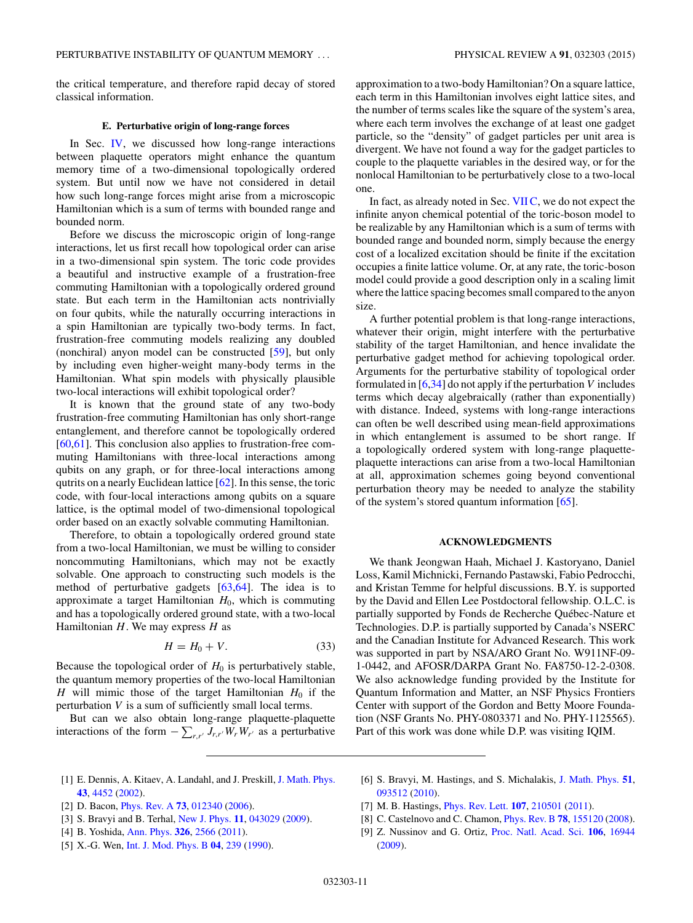<span id="page-10-0"></span>the critical temperature, and therefore rapid decay of stored classical information.

### **E. Perturbative origin of long-range forces**

In Sec. [IV,](#page-3-0) we discussed how long-range interactions between plaquette operators might enhance the quantum memory time of a two-dimensional topologically ordered system. But until now we have not considered in detail how such long-range forces might arise from a microscopic Hamiltonian which is a sum of terms with bounded range and bounded norm.

Before we discuss the microscopic origin of long-range interactions, let us first recall how topological order can arise in a two-dimensional spin system. The toric code provides a beautiful and instructive example of a frustration-free commuting Hamiltonian with a topologically ordered ground state. But each term in the Hamiltonian acts nontrivially on four qubits, while the naturally occurring interactions in a spin Hamiltonian are typically two-body terms. In fact, frustration-free commuting models realizing any doubled (nonchiral) anyon model can be constructed [\[59\]](#page-11-0), but only by including even higher-weight many-body terms in the Hamiltonian. What spin models with physically plausible two-local interactions will exhibit topological order?

It is known that the ground state of any two-body frustration-free commuting Hamiltonian has only short-range entanglement, and therefore cannot be topologically ordered [\[60,61\]](#page-11-0). This conclusion also applies to frustration-free commuting Hamiltonians with three-local interactions among qubits on any graph, or for three-local interactions among qutrits on a nearly Euclidean lattice [\[62\]](#page-11-0). In this sense, the toric code, with four-local interactions among qubits on a square lattice, is the optimal model of two-dimensional topological order based on an exactly solvable commuting Hamiltonian.

Therefore, to obtain a topologically ordered ground state from a two-local Hamiltonian, we must be willing to consider noncommuting Hamiltonians, which may not be exactly solvable. One approach to constructing such models is the method of perturbative gadgets [\[63,64\]](#page-11-0). The idea is to approximate a target Hamiltonian *H*0, which is commuting and has a topologically ordered ground state, with a two-local Hamiltonian *H*. We may express *H* as

$$
H = H_0 + V. \tag{33}
$$

Because the topological order of  $H_0$  is perturbatively stable, the quantum memory properties of the two-local Hamiltonian *H* will mimic those of the target Hamiltonian  $H_0$  if the perturbation *V* is a sum of sufficiently small local terms.

But can we also obtain long-range plaquette-plaquette interactions of the form  $-\sum_{r,r'} J_{r,r'} W_r W_{r'}$  as a perturbative

approximation to a two-body Hamiltonian? On a square lattice, each term in this Hamiltonian involves eight lattice sites, and the number of terms scales like the square of the system's area, where each term involves the exchange of at least one gadget particle, so the "density" of gadget particles per unit area is divergent. We have not found a way for the gadget particles to couple to the plaquette variables in the desired way, or for the nonlocal Hamiltonian to be perturbatively close to a two-local one.

In fact, as already noted in Sec. [VII C,](#page-8-0) we do not expect the infinite anyon chemical potential of the toric-boson model to be realizable by any Hamiltonian which is a sum of terms with bounded range and bounded norm, simply because the energy cost of a localized excitation should be finite if the excitation occupies a finite lattice volume. Or, at any rate, the toric-boson model could provide a good description only in a scaling limit where the lattice spacing becomes small compared to the anyon size.

A further potential problem is that long-range interactions, whatever their origin, might interfere with the perturbative stability of the target Hamiltonian, and hence invalidate the perturbative gadget method for achieving topological order. Arguments for the perturbative stability of topological order formulated in [6[,34\]](#page-11-0) do not apply if the perturbation *V* includes terms which decay algebraically (rather than exponentially) with distance. Indeed, systems with long-range interactions can often be well described using mean-field approximations in which entanglement is assumed to be short range. If a topologically ordered system with long-range plaquetteplaquette interactions can arise from a two-local Hamiltonian at all, approximation schemes going beyond conventional perturbation theory may be needed to analyze the stability of the system's stored quantum information [\[65\]](#page-11-0).

# **ACKNOWLEDGMENTS**

We thank Jeongwan Haah, Michael J. Kastoryano, Daniel Loss, Kamil Michnicki, Fernando Pastawski, Fabio Pedrocchi, and Kristan Temme for helpful discussions. B.Y. is supported by the David and Ellen Lee Postdoctoral fellowship. O.L.C. is partially supported by Fonds de Recherche Québec-Nature et Technologies. D.P. is partially supported by Canada's NSERC and the Canadian Institute for Advanced Research. This work was supported in part by NSA/ARO Grant No. W911NF-09- 1-0442, and AFOSR/DARPA Grant No. FA8750-12-2-0308. We also acknowledge funding provided by the Institute for Quantum Information and Matter, an NSF Physics Frontiers Center with support of the Gordon and Betty Moore Foundation (NSF Grants No. PHY-0803371 and No. PHY-1125565). Part of this work was done while D.P. was visiting IQIM.

- [1] E. Dennis, A. Kitaev, A. Landahl, and J. Preskill, [J. Math. Phys.](http://dx.doi.org/10.1063/1.1499754) **[43](http://dx.doi.org/10.1063/1.1499754)**, [4452](http://dx.doi.org/10.1063/1.1499754) [\(2002\)](http://dx.doi.org/10.1063/1.1499754).
- [2] D. Bacon, [Phys. Rev. A](http://dx.doi.org/10.1103/PhysRevA.73.012340) **[73](http://dx.doi.org/10.1103/PhysRevA.73.012340)**, [012340](http://dx.doi.org/10.1103/PhysRevA.73.012340) [\(2006\)](http://dx.doi.org/10.1103/PhysRevA.73.012340).
- [3] S. Bravyi and B. Terhal, [New J. Phys.](http://dx.doi.org/10.1088/1367-2630/11/4/043029) **[11](http://dx.doi.org/10.1088/1367-2630/11/4/043029)**, [043029](http://dx.doi.org/10.1088/1367-2630/11/4/043029) [\(2009\)](http://dx.doi.org/10.1088/1367-2630/11/4/043029).
- [4] B. Yoshida, [Ann. Phys.](http://dx.doi.org/10.1016/j.aop.2011.06.001) **[326](http://dx.doi.org/10.1016/j.aop.2011.06.001)**, [2566](http://dx.doi.org/10.1016/j.aop.2011.06.001) [\(2011\)](http://dx.doi.org/10.1016/j.aop.2011.06.001).
- [5] X.-G. Wen, [Int. J. Mod. Phys. B](http://dx.doi.org/10.1142/S0217979290000139) **[04](http://dx.doi.org/10.1142/S0217979290000139)**, [239](http://dx.doi.org/10.1142/S0217979290000139) [\(1990\)](http://dx.doi.org/10.1142/S0217979290000139).
- [6] S. Bravyi, M. Hastings, and S. Michalakis, [J. Math. Phys.](http://dx.doi.org/10.1063/1.3490195) **[51](http://dx.doi.org/10.1063/1.3490195)**, [093512](http://dx.doi.org/10.1063/1.3490195) [\(2010\)](http://dx.doi.org/10.1063/1.3490195).
- [7] M. B. Hastings, [Phys. Rev. Lett.](http://dx.doi.org/10.1103/PhysRevLett.107.210501) **[107](http://dx.doi.org/10.1103/PhysRevLett.107.210501)**, [210501](http://dx.doi.org/10.1103/PhysRevLett.107.210501) [\(2011\)](http://dx.doi.org/10.1103/PhysRevLett.107.210501).
- [8] C. Castelnovo and C. Chamon, [Phys. Rev. B](http://dx.doi.org/10.1103/PhysRevB.78.155120) **[78](http://dx.doi.org/10.1103/PhysRevB.78.155120)**, [155120](http://dx.doi.org/10.1103/PhysRevB.78.155120) [\(2008\)](http://dx.doi.org/10.1103/PhysRevB.78.155120).
- [9] Z. Nussinov and G. Ortiz, [Proc. Natl. Acad. Sci.](http://dx.doi.org/10.1073/pnas.0803726105) **[106](http://dx.doi.org/10.1073/pnas.0803726105)**, [16944](http://dx.doi.org/10.1073/pnas.0803726105) [\(2009\)](http://dx.doi.org/10.1073/pnas.0803726105).